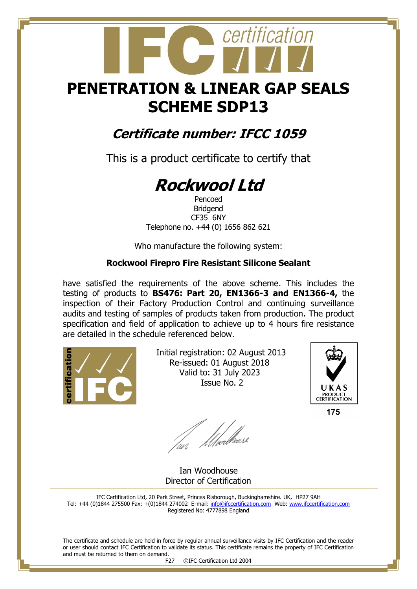## **PENETRATION & LINEAR GAP SEALS SCHEME SDP13**

certification

### **Certificate number: IFCC 1059**

This is a product certificate to certify that

# **Rockwool Ltd**

Pencoed Bridgend CF35 6NY Telephone no. +44 (0) 1656 862 621

Who manufacture the following system:

#### **Rockwool Firepro Fire Resistant Silicone Sealant**

have satisfied the requirements of the above scheme. This includes the testing of products to **BS476: Part 20, EN1366-3 and EN1366-4,** the inspection of their Factory Production Control and continuing surveillance audits and testing of samples of products taken from production. The product specification and field of application to achieve up to 4 hours fire resistance are detailed in the schedule referenced below.



 Initial registration: 02 August 2013 Re-issued: 01 August 2018 Valid to: 31 July 2023 Issue No. 2



175

fan Moedliase

 Ian Woodhouse Director of Certification

IFC Certification Ltd, 20 Park Street, Princes Risborough, Buckinghamshire. UK, HP27 9AH Tel: +44 (0)1844 275500 Fax: +(0)1844 274002 E-mail[: info@ifccertification.com](mailto:info@ifccertification.com) Web: [www.ifccertification.com](http://www.ifccertification.com/) Registered No: 4777898 England

The certificate and schedule are held in force by regular annual surveillance visits by IFC Certification and the reader or user should contact IFC Certification to validate its status. This certificate remains the property of IFC Certification and must be returned to them on demand.